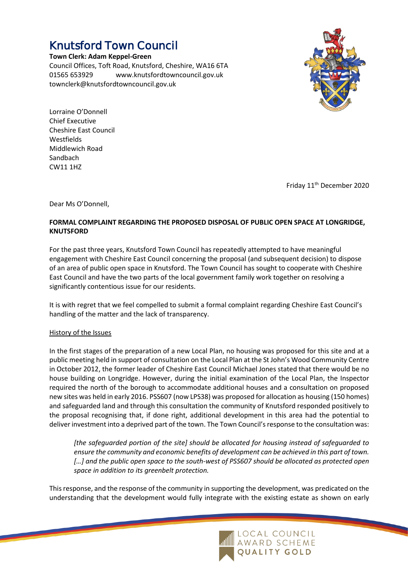## Knutsford Town Council

**Town Clerk: Adam Keppel-Green**

Council Offices, Toft Road, Knutsford, Cheshire, WA16 6TA 01565 653929 www.knutsfordtowncouncil.gov.uk townclerk@knutsfordtowncouncil.gov.uk



Lorraine O'Donnell Chief Executive Cheshire East Council Westfields Middlewich Road Sandbach CW11 1HZ

Friday 11<sup>th</sup> December 2020

Dear Ms O'Donnell,

## **FORMAL COMPLAINT REGARDING THE PROPOSED DISPOSAL OF PUBLIC OPEN SPACE AT LONGRIDGE, KNUTSFORD**

For the past three years, Knutsford Town Council has repeatedly attempted to have meaningful engagement with Cheshire East Council concerning the proposal (and subsequent decision) to dispose of an area of public open space in Knutsford. The Town Council has sought to cooperate with Cheshire East Council and have the two parts of the local government family work together on resolving a significantly contentious issue for our residents.

It is with regret that we feel compelled to submit a formal complaint regarding Cheshire East Council's handling of the matter and the lack of transparency.

## History of the Issues

In the first stages of the preparation of a new Local Plan, no housing was proposed for this site and at a public meeting held in support of consultation on the Local Plan at the St John's Wood Community Centre in October 2012, the former leader of Cheshire East Council Michael Jones stated that there would be no house building on Longridge. However, during the initial examination of the Local Plan, the Inspector required the north of the borough to accommodate additional houses and a consultation on proposed new sites was held in early 2016. PSS607 (now LPS38) was proposed for allocation as housing (150 homes) and safeguarded land and through this consultation the community of Knutsford responded positively to the proposal recognising that, if done right, additional development in this area had the potential to deliver investment into a deprived part of the town. The Town Council's response to the consultation was:

*[the safeguarded portion of the site] should be allocated for housing instead of safeguarded to ensure the community and economic benefits of development can be achieved in this part of town. […] and the public open space to the south-west of PSS607 should be allocated as protected open space in addition to its greenbelt protection.*

This response, and the response of the community in supporting the development, was predicated on the understanding that the development would fully integrate with the existing estate as shown on early

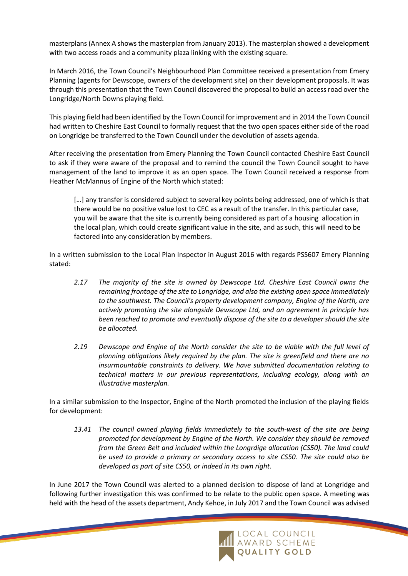masterplans (Annex A shows the masterplan from January 2013). The masterplan showed a development with two access roads and a community plaza linking with the existing square.

In March 2016, the Town Council's Neighbourhood Plan Committee received a presentation from Emery Planning (agents for Dewscope, owners of the development site) on their development proposals. It was through this presentation that the Town Council discovered the proposal to build an access road over the Longridge/North Downs playing field.

This playing field had been identified by the Town Council for improvement and in 2014 the Town Council had written to Cheshire East Council to formally request that the two open spaces either side of the road on Longridge be transferred to the Town Council under the devolution of assets agenda.

After receiving the presentation from Emery Planning the Town Council contacted Cheshire East Council to ask if they were aware of the proposal and to remind the council the Town Council sought to have management of the land to improve it as an open space. The Town Council received a response from Heather McMannus of Engine of the North which stated:

[...] any transfer is considered subject to several key points being addressed, one of which is that there would be no positive value lost to CEC as a result of the transfer. In this particular case, you will be aware that the site is currently being considered as part of a housing allocation in the local plan, which could create significant value in the site, and as such, this will need to be factored into any consideration by members.

In a written submission to the Local Plan Inspector in August 2016 with regards PSS607 Emery Planning stated:

- *2.17 The majority of the site is owned by Dewscope Ltd. Cheshire East Council owns the remaining frontage of the site to Longridge, and also the existing open space immediately to the southwest. The Council's property development company, Engine of the North, are actively promoting the site alongside Dewscope Ltd, and an agreement in principle has been reached to promote and eventually dispose of the site to a developer should the site be allocated.*
- *2.19 Dewscope and Engine of the North consider the site to be viable with the full level of planning obligations likely required by the plan. The site is greenfield and there are no insurmountable constraints to delivery. We have submitted documentation relating to technical matters in our previous representations, including ecology, along with an illustrative masterplan.*

In a similar submission to the Inspector, Engine of the North promoted the inclusion of the playing fields for development:

*13.41 The council owned playing fields immediately to the south-west of the site are being promoted for development by Engine of the North. We consider they should be removed from the Green Belt and included within the Longrdige allocation (CS50). The land could be used to provide a primary or secondary access to site CS50. The site could also be developed as part of site CS50, or indeed in its own right.*

In June 2017 the Town Council was alerted to a planned decision to dispose of land at Longridge and following further investigation this was confirmed to be relate to the public open space. A meeting was held with the head of the assets department, Andy Kehoe, in July 2017 and the Town Council was advised

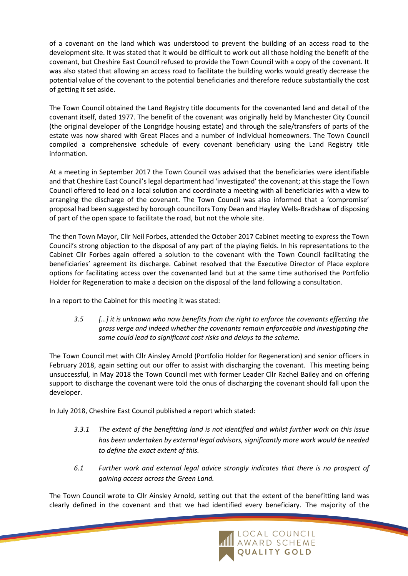of a covenant on the land which was understood to prevent the building of an access road to the development site. It was stated that it would be difficult to work out all those holding the benefit of the covenant, but Cheshire East Council refused to provide the Town Council with a copy of the covenant. It was also stated that allowing an access road to facilitate the building works would greatly decrease the potential value of the covenant to the potential beneficiaries and therefore reduce substantially the cost of getting it set aside.

The Town Council obtained the Land Registry title documents for the covenanted land and detail of the covenant itself, dated 1977. The benefit of the covenant was originally held by Manchester City Council (the original developer of the Longridge housing estate) and through the sale/transfers of parts of the estate was now shared with Great Places and a number of individual homeowners. The Town Council compiled a comprehensive schedule of every covenant beneficiary using the Land Registry title information.

At a meeting in September 2017 the Town Council was advised that the beneficiaries were identifiable and that Cheshire East Council's legal department had 'investigated' the covenant; at this stage the Town Council offered to lead on a local solution and coordinate a meeting with all beneficiaries with a view to arranging the discharge of the covenant. The Town Council was also informed that a 'compromise' proposal had been suggested by borough councillors Tony Dean and Hayley Wells-Bradshaw of disposing of part of the open space to facilitate the road, but not the whole site.

The then Town Mayor, Cllr Neil Forbes, attended the October 2017 Cabinet meeting to express the Town Council's strong objection to the disposal of any part of the playing fields. In his representations to the Cabinet Cllr Forbes again offered a solution to the covenant with the Town Council facilitating the beneficiaries' agreement its discharge. Cabinet resolved that the Executive Director of Place explore options for facilitating access over the covenanted land but at the same time authorised the Portfolio Holder for Regeneration to make a decision on the disposal of the land following a consultation.

In a report to the Cabinet for this meeting it was stated:

*3.5 […] it is unknown who now benefits from the right to enforce the covenants effecting the grass verge and indeed whether the covenants remain enforceable and investigating the same could lead to significant cost risks and delays to the scheme.*

The Town Council met with Cllr Ainsley Arnold (Portfolio Holder for Regeneration) and senior officers in February 2018, again setting out our offer to assist with discharging the covenant. This meeting being unsuccessful, in May 2018 the Town Council met with former Leader Cllr Rachel Bailey and on offering support to discharge the covenant were told the onus of discharging the covenant should fall upon the developer.

In July 2018, Cheshire East Council published a report which stated:

- *3.3.1 The extent of the benefitting land is not identified and whilst further work on this issue has been undertaken by external legal advisors, significantly more work would be needed to define the exact extent of this.*
- *6.1 Further work and external legal advice strongly indicates that there is no prospect of gaining access across the Green Land.*

The Town Council wrote to Cllr Ainsley Arnold, setting out that the extent of the benefitting land was clearly defined in the covenant and that we had identified every beneficiary. The majority of the

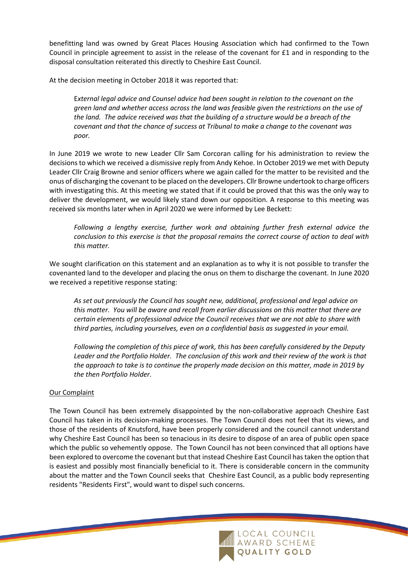benefitting land was owned by Great Places Housing Association which had confirmed to the Town Council in principle agreement to assist in the release of the covenant for £1 and in responding to the disposal consultation reiterated this directly to Cheshire East Council.

At the decision meeting in October 2018 it was reported that:

E*xternal legal advice and Counsel advice had been sought in relation to the covenant on the green land and whether access across the land was feasible given the restrictions on the use of the land. The advice received was that the building of a structure would be a breach of the covenant and that the chance of success at Tribunal to make a change to the covenant was poor.*

In June 2019 we wrote to new Leader Cllr Sam Corcoran calling for his administration to review the decisions to which we received a dismissive reply from Andy Kehoe. In October 2019 we met with Deputy Leader Cllr Craig Browne and senior officers where we again called for the matter to be revisited and the onus of discharging the covenant to be placed on the developers. Cllr Browne undertook to charge officers with investigating this. At this meeting we stated that if it could be proved that this was the only way to deliver the development, we would likely stand down our opposition. A response to this meeting was received six months later when in April 2020 we were informed by Lee Beckett:

*Following a lengthy exercise, further work and obtaining further fresh external advice the conclusion to this exercise is that the proposal remains the correct course of action to deal with this matter.* 

We sought clarification on this statement and an explanation as to why it is not possible to transfer the covenanted land to the developer and placing the onus on them to discharge the covenant. In June 2020 we received a repetitive response stating:

*As set out previously the Council has sought new, additional, professional and legal advice on this matter. You will be aware and recall from earlier discussions on this matter that there are certain elements of professional advice the Council receives that we are not able to share with third parties, including yourselves, even on a confidential basis as suggested in your email.*

*Following the completion of this piece of work, this has been carefully considered by the Deputy Leader and the Portfolio Holder. The conclusion of this work and their review of the work is that the approach to take is to continue the properly made decision on this matter, made in 2019 by the then Portfolio Holder.*

## Our Complaint

The Town Council has been extremely disappointed by the non-collaborative approach Cheshire East Council has taken in its decision-making processes. The Town Council does not feel that its views, and those of the residents of Knutsford, have been properly considered and the council cannot understand why Cheshire East Council has been so tenacious in its desire to dispose of an area of public open space which the public so vehemently oppose. The Town Council has not been convinced that all options have been explored to overcome the covenant but that instead Cheshire East Council has taken the option that is easiest and possibly most financially beneficial to it. There is considerable concern in the community about the matter and the Town Council seeks that Cheshire East Council, as a public body representing residents "Residents First", would want to dispel such concerns.

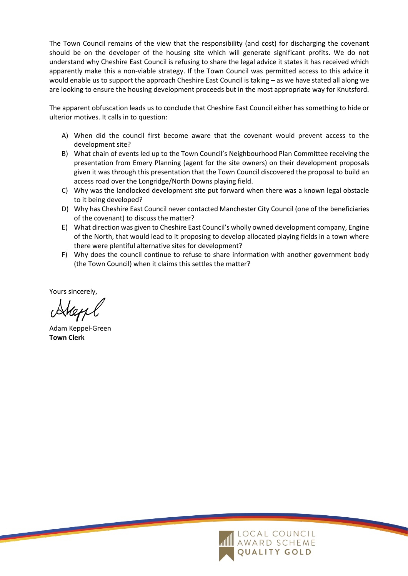The Town Council remains of the view that the responsibility (and cost) for discharging the covenant should be on the developer of the housing site which will generate significant profits. We do not understand why Cheshire East Council is refusing to share the legal advice it states it has received which apparently make this a non-viable strategy. If the Town Council was permitted access to this advice it would enable us to support the approach Cheshire East Council is taking – as we have stated all along we are looking to ensure the housing development proceeds but in the most appropriate way for Knutsford.

The apparent obfuscation leads us to conclude that Cheshire East Council either has something to hide or ulterior motives. It calls in to question:

- A) When did the council first become aware that the covenant would prevent access to the development site?
- B) What chain of events led up to the Town Council's Neighbourhood Plan Committee receiving the presentation from Emery Planning (agent for the site owners) on their development proposals given it was through this presentation that the Town Council discovered the proposal to build an access road over the Longridge/North Downs playing field.
- C) Why was the landlocked development site put forward when there was a known legal obstacle to it being developed?
- D) Why has Cheshire East Council never contacted Manchester City Council (one of the beneficiaries of the covenant) to discuss the matter?
- E) What direction was given to Cheshire East Council's wholly owned development company, Engine of the North, that would lead to it proposing to develop allocated playing fields in a town where there were plentiful alternative sites for development?
- F) Why does the council continue to refuse to share information with another government body (the Town Council) when it claims this settles the matter?

Yours sincerely,

Adam Keppel-Green **Town Clerk**